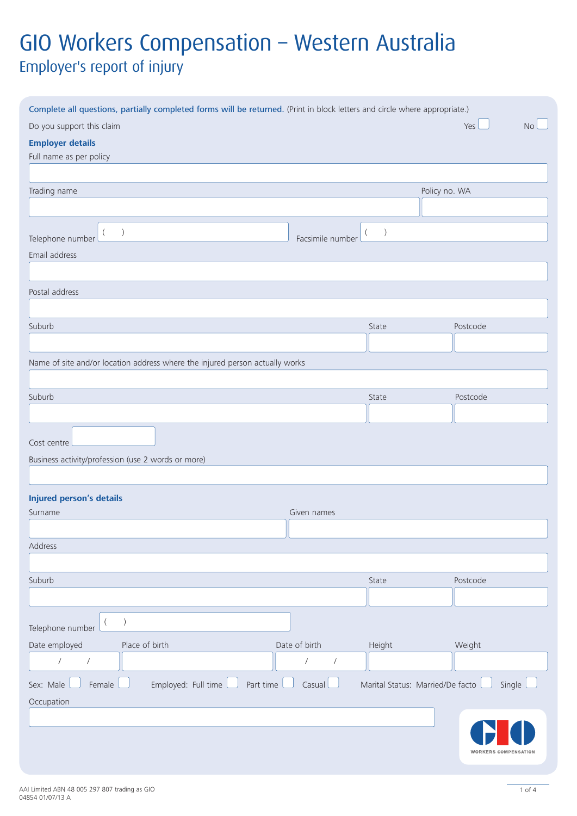# GIO Workers Compensation – Western Australia Employer's report of injury

| Complete all questions, partially completed forms will be returned. (Print in block letters and circle where appropriate.) |                          |                                  |                  |
|----------------------------------------------------------------------------------------------------------------------------|--------------------------|----------------------------------|------------------|
| Do you support this claim                                                                                                  |                          |                                  | Yes<br><b>No</b> |
| <b>Employer details</b>                                                                                                    |                          |                                  |                  |
| Full name as per policy                                                                                                    |                          |                                  |                  |
|                                                                                                                            |                          |                                  |                  |
| Trading name                                                                                                               |                          | Policy no. WA                    |                  |
|                                                                                                                            |                          |                                  |                  |
|                                                                                                                            |                          |                                  |                  |
| Telephone number                                                                                                           | Facsimile number         |                                  |                  |
| Email address                                                                                                              |                          |                                  |                  |
|                                                                                                                            |                          |                                  |                  |
| Postal address                                                                                                             |                          |                                  |                  |
|                                                                                                                            |                          |                                  |                  |
| Suburb                                                                                                                     |                          | State                            | Postcode         |
|                                                                                                                            |                          |                                  |                  |
| Name of site and/or location address where the injured person actually works                                               |                          |                                  |                  |
|                                                                                                                            |                          |                                  |                  |
| Suburb                                                                                                                     |                          | State                            | Postcode         |
|                                                                                                                            |                          |                                  |                  |
| Cost centre<br>Business activity/profession (use 2 words or more)                                                          |                          |                                  |                  |
| <b>Injured person's details</b>                                                                                            |                          |                                  |                  |
| Surname                                                                                                                    | Given names              |                                  |                  |
|                                                                                                                            |                          |                                  |                  |
| Address                                                                                                                    |                          |                                  |                  |
|                                                                                                                            |                          |                                  |                  |
| Suburb                                                                                                                     |                          | State                            | Postcode         |
|                                                                                                                            |                          |                                  |                  |
| $\lambda$<br>Telephone number                                                                                              |                          |                                  |                  |
| Date employed<br>Place of birth                                                                                            | Date of birth            | Height                           | Weight           |
| $\overline{I}$<br>$\sqrt{2}$                                                                                               | $\sqrt{2}$<br>$\sqrt{ }$ |                                  |                  |
| Employed: Full time<br>Sex: Male<br>Female<br>Part time                                                                    | Casual L                 | Marital Status: Married/De facto | Single           |
| Occupation                                                                                                                 |                          |                                  |                  |
|                                                                                                                            |                          |                                  |                  |
|                                                                                                                            |                          |                                  |                  |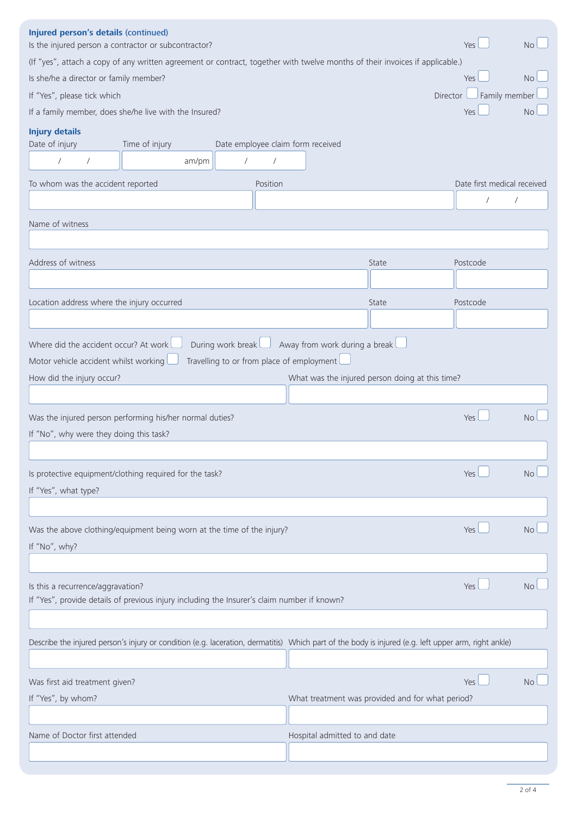| Injured person's details (continued)<br>Is the injured person a contractor or subcontractor?                                                                                                                                                                                |                                                                                                                                                      |                                   |                               |                                                  | Yes                                | No        |  |  |  |
|-----------------------------------------------------------------------------------------------------------------------------------------------------------------------------------------------------------------------------------------------------------------------------|------------------------------------------------------------------------------------------------------------------------------------------------------|-----------------------------------|-------------------------------|--------------------------------------------------|------------------------------------|-----------|--|--|--|
| (If "yes", attach a copy of any written agreement or contract, together with twelve months of their invoices if applicable.)                                                                                                                                                |                                                                                                                                                      |                                   |                               |                                                  |                                    |           |  |  |  |
| Is she/he a director or family member?                                                                                                                                                                                                                                      |                                                                                                                                                      |                                   |                               |                                                  | Yes                                | No        |  |  |  |
| If "Yes", please tick which                                                                                                                                                                                                                                                 |                                                                                                                                                      |                                   |                               |                                                  | $\Box$ Family member<br>Director l |           |  |  |  |
|                                                                                                                                                                                                                                                                             | If a family member, does she/he live with the Insured?                                                                                               |                                   |                               |                                                  | Yes                                | <b>No</b> |  |  |  |
| <b>Injury details</b><br>Date of injury                                                                                                                                                                                                                                     | Time of injury                                                                                                                                       | Date employee claim form received |                               |                                                  |                                    |           |  |  |  |
| $\sqrt{2}$<br>$\sqrt{2}$                                                                                                                                                                                                                                                    | am/pm                                                                                                                                                | $\sqrt{2}$<br>$\sqrt{2}$          |                               |                                                  |                                    |           |  |  |  |
| To whom was the accident reported                                                                                                                                                                                                                                           |                                                                                                                                                      | Position                          |                               |                                                  | Date first medical received        |           |  |  |  |
|                                                                                                                                                                                                                                                                             |                                                                                                                                                      |                                   |                               |                                                  |                                    |           |  |  |  |
| Name of witness                                                                                                                                                                                                                                                             |                                                                                                                                                      |                                   |                               |                                                  |                                    |           |  |  |  |
|                                                                                                                                                                                                                                                                             |                                                                                                                                                      |                                   |                               |                                                  |                                    |           |  |  |  |
|                                                                                                                                                                                                                                                                             |                                                                                                                                                      |                                   |                               |                                                  |                                    |           |  |  |  |
| Address of witness                                                                                                                                                                                                                                                          |                                                                                                                                                      |                                   |                               | State                                            | Postcode                           |           |  |  |  |
|                                                                                                                                                                                                                                                                             |                                                                                                                                                      |                                   |                               |                                                  |                                    |           |  |  |  |
| Location address where the injury occurred                                                                                                                                                                                                                                  |                                                                                                                                                      |                                   |                               | State                                            | Postcode                           |           |  |  |  |
|                                                                                                                                                                                                                                                                             |                                                                                                                                                      |                                   |                               |                                                  |                                    |           |  |  |  |
| During work break<br>Where did the accident occur? At work<br>Away from work during a break $\lfloor$<br>Travelling to or from place of employment<br>Motor vehicle accident whilst working<br>What was the injured person doing at this time?<br>How did the injury occur? |                                                                                                                                                      |                                   |                               |                                                  |                                    |           |  |  |  |
|                                                                                                                                                                                                                                                                             | Was the injured person performing his/her normal duties?                                                                                             |                                   |                               |                                                  | Yes                                | <b>No</b> |  |  |  |
| If "No", why were they doing this task?                                                                                                                                                                                                                                     |                                                                                                                                                      |                                   |                               |                                                  |                                    |           |  |  |  |
|                                                                                                                                                                                                                                                                             |                                                                                                                                                      |                                   |                               |                                                  |                                    |           |  |  |  |
|                                                                                                                                                                                                                                                                             |                                                                                                                                                      |                                   |                               |                                                  |                                    |           |  |  |  |
|                                                                                                                                                                                                                                                                             | Is protective equipment/clothing required for the task?                                                                                              |                                   |                               |                                                  | Yes                                | <b>No</b> |  |  |  |
| If "Yes", what type?                                                                                                                                                                                                                                                        |                                                                                                                                                      |                                   |                               |                                                  |                                    |           |  |  |  |
| If "No", why?                                                                                                                                                                                                                                                               | Was the above clothing/equipment being worn at the time of the injury?                                                                               |                                   |                               |                                                  | Yes                                | <b>No</b> |  |  |  |
|                                                                                                                                                                                                                                                                             |                                                                                                                                                      |                                   |                               |                                                  |                                    |           |  |  |  |
| Is this a recurrence/aggravation?                                                                                                                                                                                                                                           | If "Yes", provide details of previous injury including the Insurer's claim number if known?                                                          |                                   |                               |                                                  | Yes                                | <b>No</b> |  |  |  |
|                                                                                                                                                                                                                                                                             |                                                                                                                                                      |                                   |                               |                                                  |                                    |           |  |  |  |
|                                                                                                                                                                                                                                                                             | Describe the injured person's injury or condition (e.g. laceration, dermatitis) Which part of the body is injured (e.g. left upper arm, right ankle) |                                   |                               |                                                  |                                    |           |  |  |  |
|                                                                                                                                                                                                                                                                             |                                                                                                                                                      |                                   |                               |                                                  |                                    |           |  |  |  |
|                                                                                                                                                                                                                                                                             |                                                                                                                                                      |                                   |                               |                                                  |                                    |           |  |  |  |
| Was first aid treatment given?                                                                                                                                                                                                                                              |                                                                                                                                                      |                                   |                               |                                                  | Yes                                | <b>No</b> |  |  |  |
| If "Yes", by whom?                                                                                                                                                                                                                                                          |                                                                                                                                                      |                                   |                               | What treatment was provided and for what period? |                                    |           |  |  |  |
|                                                                                                                                                                                                                                                                             |                                                                                                                                                      |                                   |                               |                                                  |                                    |           |  |  |  |
| Name of Doctor first attended                                                                                                                                                                                                                                               |                                                                                                                                                      |                                   | Hospital admitted to and date |                                                  |                                    |           |  |  |  |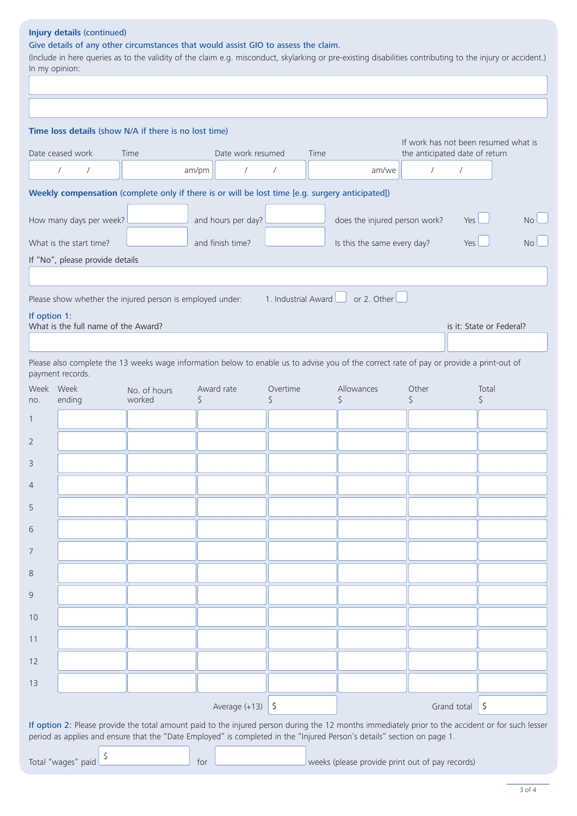# **Injury details** (continued)

Give details of any other circumstances that would assist GIO to assess the claim.

(Include in here queries as to the validity of the claim e.g. misconduct, skylarking or pre-existing disabilities contributing to the injury or accident.) In my opinion:

|                         |                                                                                                                                          | Time loss details (show N/A if there is no lost time) |                    |                   |               |                                    |                               |                                                                        |            |                          |           |
|-------------------------|------------------------------------------------------------------------------------------------------------------------------------------|-------------------------------------------------------|--------------------|-------------------|---------------|------------------------------------|-------------------------------|------------------------------------------------------------------------|------------|--------------------------|-----------|
|                         | Date ceased work                                                                                                                         | Time                                                  |                    | Date work resumed |               | Time                               |                               | If work has not been resumed what is<br>the anticipated date of return |            |                          |           |
|                         | $\sqrt{2}$<br>$\sqrt{2}$                                                                                                                 |                                                       | am/pm              | $\sqrt{2}$        | $\sqrt{2}$    |                                    | am/we                         | $\sqrt{2}$                                                             | $\sqrt{2}$ |                          |           |
|                         | Weekly compensation (complete only if there is or will be lost time [e.g. surgery anticipated])                                          |                                                       |                    |                   |               |                                    |                               |                                                                        |            |                          |           |
|                         | How many days per week?                                                                                                                  |                                                       | and hours per day? |                   |               |                                    | does the injured person work? |                                                                        | <b>Yes</b> |                          | <b>No</b> |
| What is the start time? |                                                                                                                                          |                                                       | and finish time?   |                   |               | Is this the same every day?<br>Yes |                               |                                                                        | <b>No</b>  |                          |           |
|                         | If "No", please provide details                                                                                                          |                                                       |                    |                   |               |                                    |                               |                                                                        |            |                          |           |
|                         |                                                                                                                                          |                                                       |                    |                   |               |                                    |                               |                                                                        |            |                          |           |
|                         | Please show whether the injured person is employed under: $\blacksquare$ 1. Industrial Award $\square$ or 2. Other $\square$             |                                                       |                    |                   |               |                                    |                               |                                                                        |            |                          |           |
|                         | If option 1:<br>What is the full name of the Award?                                                                                      |                                                       |                    |                   |               |                                    |                               |                                                                        |            | is it: State or Federal? |           |
|                         |                                                                                                                                          |                                                       |                    |                   |               |                                    |                               |                                                                        |            |                          |           |
|                         | Please also complete the 13 weeks wage information below to enable us to advise you of the correct rate of pay or provide a print-out of |                                                       |                    |                   |               |                                    |                               |                                                                        |            |                          |           |
|                         | payment records.                                                                                                                         |                                                       |                    |                   |               |                                    |                               |                                                                        |            |                          |           |
| no.                     | Week Week<br>ending                                                                                                                      | No. of hours<br>worked                                | Award rate<br>Ŝ    |                   | Overtime<br>S |                                    | Allowances<br>Ś               | Other<br>Ŝ                                                             |            | Total<br>S               |           |
|                         |                                                                                                                                          |                                                       |                    |                   |               |                                    |                               |                                                                        |            |                          |           |
|                         |                                                                                                                                          |                                                       |                    |                   |               |                                    |                               |                                                                        |            |                          |           |
|                         |                                                                                                                                          |                                                       |                    |                   |               |                                    |                               |                                                                        |            |                          |           |
|                         |                                                                                                                                          |                                                       |                    |                   |               |                                    |                               |                                                                        |            |                          |           |
|                         |                                                                                                                                          |                                                       |                    |                   |               |                                    |                               |                                                                        |            |                          |           |
|                         |                                                                                                                                          |                                                       |                    |                   |               |                                    |                               |                                                                        |            |                          |           |
|                         |                                                                                                                                          |                                                       |                    |                   |               |                                    |                               |                                                                        |            |                          |           |
|                         |                                                                                                                                          |                                                       |                    |                   |               |                                    |                               |                                                                        |            |                          |           |
|                         |                                                                                                                                          |                                                       |                    |                   |               |                                    |                               |                                                                        |            |                          |           |
|                         |                                                                                                                                          |                                                       |                    |                   |               |                                    |                               |                                                                        |            |                          |           |
|                         |                                                                                                                                          |                                                       |                    |                   |               |                                    |                               |                                                                        |            |                          |           |
|                         |                                                                                                                                          |                                                       |                    |                   |               |                                    |                               |                                                                        |            |                          |           |
| 10<br>11<br>12          |                                                                                                                                          |                                                       |                    |                   |               |                                    |                               |                                                                        |            |                          |           |
| 13                      |                                                                                                                                          |                                                       |                    |                   |               |                                    |                               |                                                                        |            |                          |           |

Total "wages" paid  $\frac{1}{s}$  for weeks (please provide print out of pay records)